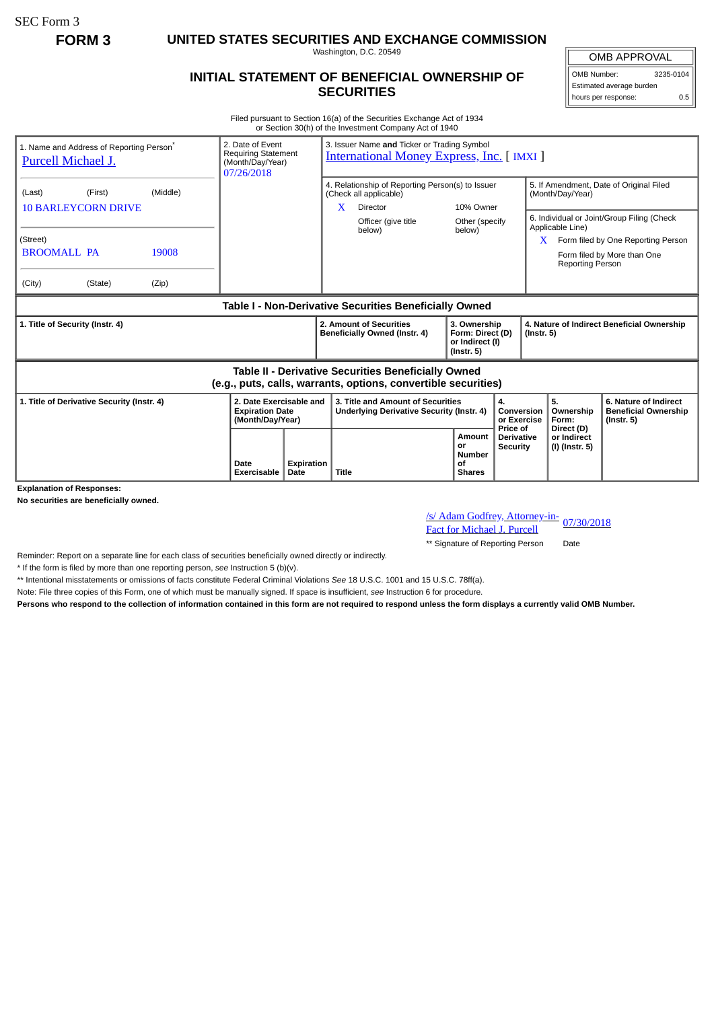SEC Form 3

**FORM 3 UNITED STATES SECURITIES AND EXCHANGE COMMISSION**

Washington, D.C. 20549

## **INITIAL STATEMENT OF BENEFICIAL OWNERSHIP OF SECURITIES**

OMB APPROVAL OMB Number: 3235-0104 Estimated average burden

hours per response: 0.5

Filed pursuant to Section 16(a) of the Securities Exchange Act of 1934 or Section 30(h) of the Investment Company Act of 1940

|                                                                                                                              |                                                   | <b>POUGHT OUTH OF GIO HIVOUGHOLD COMPANY TWO OF 1940</b> |                                                                       |                                                                                                                              |                                                                                       |                                                                                               |                                                      |                                                                |                                                                |                                                                          |  |  |
|------------------------------------------------------------------------------------------------------------------------------|---------------------------------------------------|----------------------------------------------------------|-----------------------------------------------------------------------|------------------------------------------------------------------------------------------------------------------------------|---------------------------------------------------------------------------------------|-----------------------------------------------------------------------------------------------|------------------------------------------------------|----------------------------------------------------------------|----------------------------------------------------------------|--------------------------------------------------------------------------|--|--|
| 1. Name and Address of Reporting Person <sup>®</sup><br><b>Purcell Michael J.</b>                                            |                                                   |                                                          | 2. Date of Event<br>(Month/Day/Year)<br>07/26/2018                    | 3. Issuer Name and Ticker or Trading Symbol<br><b>Requiring Statement</b><br><b>International Money Express, Inc.</b> [IMXI] |                                                                                       |                                                                                               |                                                      |                                                                |                                                                |                                                                          |  |  |
| (Last)                                                                                                                       | (Middle)<br>(First)<br><b>10 BARLEYCORN DRIVE</b> |                                                          |                                                                       |                                                                                                                              | X                                                                                     | 4. Relationship of Reporting Person(s) to Issuer<br>(Check all applicable)<br><b>Director</b> | 10% Owner                                            |                                                                | 5. If Amendment, Date of Original Filed<br>(Month/Day/Year)    |                                                                          |  |  |
|                                                                                                                              |                                                   |                                                          |                                                                       |                                                                                                                              |                                                                                       | Officer (give title<br>below)                                                                 | Other (specify<br>below)                             |                                                                | 6. Individual or Joint/Group Filing (Check<br>Applicable Line) |                                                                          |  |  |
| (Street)                                                                                                                     |                                                   |                                                          |                                                                       |                                                                                                                              |                                                                                       |                                                                                               |                                                      |                                                                | X                                                              | Form filed by One Reporting Person                                       |  |  |
| <b>BROOMALL PA</b>                                                                                                           |                                                   | 19008                                                    |                                                                       |                                                                                                                              |                                                                                       |                                                                                               |                                                      |                                                                | <b>Reporting Person</b>                                        | Form filed by More than One                                              |  |  |
| (City)                                                                                                                       | (State)                                           | (Zip)                                                    |                                                                       |                                                                                                                              |                                                                                       |                                                                                               |                                                      |                                                                |                                                                |                                                                          |  |  |
| Table I - Non-Derivative Securities Beneficially Owned                                                                       |                                                   |                                                          |                                                                       |                                                                                                                              |                                                                                       |                                                                                               |                                                      |                                                                |                                                                |                                                                          |  |  |
| 1. Title of Security (Instr. 4)                                                                                              |                                                   |                                                          |                                                                       |                                                                                                                              | 2. Amount of Securities<br>Beneficially Owned (Instr. 4)                              | 3. Ownership<br>Form: Direct (D)<br>or Indirect (I)<br>$($ lnstr. 5 $)$                       |                                                      | 4. Nature of Indirect Beneficial Ownership<br>$($ Instr. 5 $)$ |                                                                |                                                                          |  |  |
| <b>Table II - Derivative Securities Beneficially Owned</b><br>(e.g., puts, calls, warrants, options, convertible securities) |                                                   |                                                          |                                                                       |                                                                                                                              |                                                                                       |                                                                                               |                                                      |                                                                |                                                                |                                                                          |  |  |
| 1. Title of Derivative Security (Instr. 4)                                                                                   |                                                   |                                                          | 2. Date Exercisable and<br><b>Expiration Date</b><br>(Month/Day/Year) |                                                                                                                              | 3. Title and Amount of Securities<br><b>Underlying Derivative Security (Instr. 4)</b> |                                                                                               |                                                      | 4.<br>Conversion<br>or Exercise                                | 5.<br>Ownership<br>Form:                                       | 6. Nature of Indirect<br><b>Beneficial Ownership</b><br>$($ lnstr. 5 $)$ |  |  |
|                                                                                                                              |                                                   |                                                          | Date<br><b>Exercisable</b>                                            | Expiration<br>Date                                                                                                           | Title                                                                                 |                                                                                               | Amount<br>or<br><b>Number</b><br>0f<br><b>Shares</b> | Price of<br><b>Derivative</b><br><b>Security</b>               | Direct (D)<br>or Indirect<br>(I) (Instr. 5)                    |                                                                          |  |  |

**Explanation of Responses:**

**No securities are beneficially owned.**

/s/ Adam Godfrey, Attorney-in-<br>Fact for Michael J. Purcell

\*\* Signature of Reporting Person Date

Reminder: Report on a separate line for each class of securities beneficially owned directly or indirectly.

\* If the form is filed by more than one reporting person, *see* Instruction 5 (b)(v).

\*\* Intentional misstatements or omissions of facts constitute Federal Criminal Violations *See* 18 U.S.C. 1001 and 15 U.S.C. 78ff(a).

Note: File three copies of this Form, one of which must be manually signed. If space is insufficient, *see* Instruction 6 for procedure.

**Persons who respond to the collection of information contained in this form are not required to respond unless the form displays a currently valid OMB Number.**